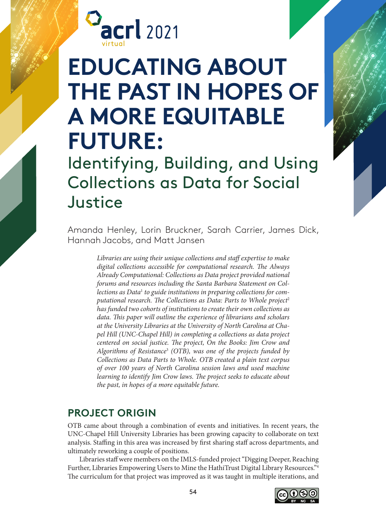

# **EDUCATING ABOUT THE PAST IN HOPES OF A MORE EQUITABLE FUTURE:**

Identifying, Building, and Using Collections as Data for Social Justice

Amanda Henley, Lorin Bruckner, Sarah Carrier, James Dick, Hannah Jacobs, and Matt Jansen

> *Libraries are using their unique collections and staff expertise to make digital collections accessible for computational research. The Always Already Computational: Collections as Data project provided national forums and resources including the Santa Barbara Statement on Collections as Data*<sup>1</sup>  *to guide institutions in preparing collections for computational research. The Collections as Data: Parts to Whole project*<sup>2</sup> *has funded two cohorts of institutions to create their own collections as data. This paper will outline the experience of librarians and scholars at the University Libraries at the University of North Carolina at Chapel Hill (UNC-Chapel Hill) in completing a collections as data project centered on social justice. The project, On the Books: Jim Crow and Algorithms of Resistance*<sup>3</sup>  *(OTB), was one of the projects funded by Collections as Data Parts to Whole. OTB created a plain text corpus of over 100 years of North Carolina session laws and used machine learning to identify Jim Crow laws. The project seeks to educate about the past, in hopes of a more equitable future.*

#### **PROJECT ORIGIN**

OTB came about through a combination of events and initiatives. In recent years, the UNC-Chapel Hill University Libraries has been growing capacity to collaborate on text analysis. Staffing in this area was increased by first sharing staff across departments, and ultimately reworking a couple of positions.

Libraries staff were members on the IMLS-funded project "Digging Deeper, Reaching Further, Libraries Empowering Users to Mine the HathiTrust Digital Library Resources."4 The curriculum for that project was improved as it was taught in multiple iterations, and

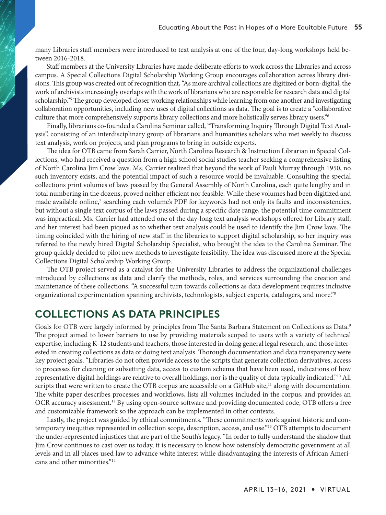many Libraries staff members were introduced to text analysis at one of the four, day-long workshops held between 2016-2018.

Staff members at the University Libraries have made deliberate efforts to work across the Libraries and across campus. A Special Collections Digital Scholarship Working Group encourages collaboration across library divisions. This group was created out of recognition that, "As more archival collections are digitized or born-digital, the work of archivists increasingly overlaps with the work of librarians who are responsible for research data and digital scholarship."5 The group developed closer working relationships while learning from one another and investigating collaboration opportunities, including new uses of digital collections as data. The goal is to create a "collaborative culture that more comprehensively supports library collections and more holistically serves library users."6

Finally, librarians co-founded a Carolina Seminar called, "Transforming Inquiry Through Digital Text Analysis", consisting of an interdisciplinary group of librarians and humanities scholars who met weekly to discuss text analysis, work on projects, and plan programs to bring in outside experts.

The idea for OTB came from Sarah Carrier, North Carolina Research & Instruction Librarian in Special Collections, who had received a question from a high school social studies teacher seeking a comprehensive listing of North Carolina Jim Crow laws. Ms. Carrier realized that beyond the work of Pauli Murray through 1950, no such inventory exists, and the potential impact of such a resource would be invaluable. Consulting the special collections print volumes of laws passed by the General Assembly of North Carolina, each quite lengthy and in total numbering in the dozens, proved neither efficient nor feasible. While these volumes had been digitized and made available online,<sup>7</sup> searching each volume's PDF for keywords had not only its faults and inconsistencies, but without a single text corpus of the laws passed during a specific date range, the potential time commitment was impractical. Ms. Carrier had attended one of the day-long text analysis workshops offered for Library staff, and her interest had been piqued as to whether text analysis could be used to identify the Jim Crow laws. The timing coincided with the hiring of new staff in the libraries to support digital scholarship, so her inquiry was referred to the newly hired Digital Scholarship Specialist, who brought the idea to the Carolina Seminar. The group quickly decided to pilot new methods to investigate feasibility. The idea was discussed more at the Special Collections Digital Scholarship Working Group.

The OTB project served as a catalyst for the University Libraries to address the organizational challenges introduced by collections as data and clarify the methods, roles, and services surrounding the creation and maintenance of these collections. "A successful turn towards collections as data development requires inclusive organizational experimentation spanning archivists, technologists, subject experts, catalogers, and more."8

#### **COLLECTIONS AS DATA PRINCIPLES**

Goals for OTB were largely informed by principles from The Santa Barbara Statement on Collections as Data.9 The project aimed to lower barriers to use by providing materials scoped to users with a variety of technical expertise, including K-12 students and teachers, those interested in doing general legal research, and those interested in creating collections as data or doing text analysis. Thorough documentation and data transparency were key project goals. "Libraries do not often provide access to the scripts that generate collection derivatives, access to processes for cleaning or subsetting data, access to custom schema that have been used, indications of how representative digital holdings are relative to overall holdings, nor is the quality of data typically indicated."10 All scripts that were written to create the OTB corpus are accessible on a GitHub site,<sup>11</sup> along with documentation. The white paper describes processes and workflows, lists all volumes included in the corpus, and provides an OCR accuracy assessment.12 By using open-source software and providing documented code, OTB offers a free and customizable framework so the approach can be implemented in other contexts.

Lastly, the project was guided by ethical commitments. "These commitments work against historic and contemporary inequities represented in collection scope, description, access, and use."13 OTB attempts to document the under-represented injustices that are part of the South's legacy. "In order to fully understand the shadow that Jim Crow continues to cast over us today, it is necessary to know how ostensibly democratic government at all levels and in all places used law to advance white interest while disadvantaging the interests of African Americans and other minorities."14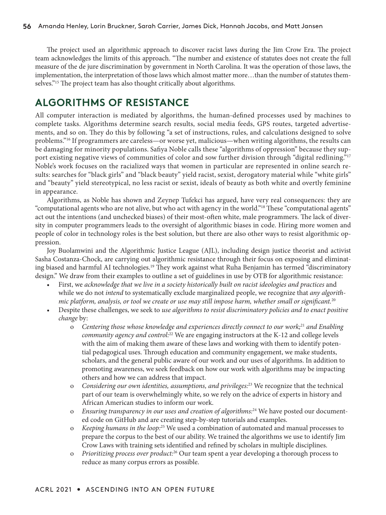The project used an algorithmic approach to discover racist laws during the Jim Crow Era. The project team acknowledges the limits of this approach. "The number and existence of statutes does not create the full measure of the de jure discrimination by government in North Carolina. It was the operation of those laws, the implementation, the interpretation of those laws which almost matter more…than the number of statutes themselves."15 The project team has also thought critically about algorithms.

#### **ALGORITHMS OF RESISTANCE**

All computer interaction is mediated by algorithms, the human-defined processes used by machines to complete tasks. Algorithms determine search results, social media feeds, GPS routes, targeted advertisements, and so on. They do this by following "a set of instructions, rules, and calculations designed to solve problems."16 If programmers are careless—or worse yet, malicious—when writing algorithms, the results can be damaging for minority populations. Safiya Noble calls these "algorithms of oppression" because they support existing negative views of communities of color and sow further division through "digital redlining."<sup>17</sup> Noble's work focuses on the racialized ways that women in particular are represented in online search results: searches for "black girls" and "black beauty" yield racist, sexist, derogatory material while "white girls" and "beauty" yield stereotypical, no less racist or sexist, ideals of beauty as both white and overtly feminine in appearance.

Algorithms, as Noble has shown and Zeynep Tufekci has argued, have very real consequences: they are "computational agents who are not alive, but who act with agency in the world."18 These "computational agents" act out the intentions (and unchecked biases) of their most-often white, male programmers. The lack of diversity in computer programmers leads to the oversight of algorithmic biases in code. Hiring more women and people of color in technology roles is the best solution, but there are also other ways to resist algorithmic oppression.

Joy Buolamwini and the Algorithmic Justice League (AJL), including design justice theorist and activist Sasha Costanza-Chock, are carrying out algorithmic resistance through their focus on exposing and eliminating biased and harmful AI technologies.<sup>19</sup> They work against what Ruha Benjamin has termed "discriminatory design." We draw from their examples to outline a set of guidelines in use by OTB for algorithmic resistance:

- First, we *acknowledge that we live in a society historically built on racist ideologies and practices* and while we do not *intend* to systematically exclude marginalized people, we recognize that *any algorithmic platform, analysis, or tool we create or use may still impose harm, whether small or significant.*<sup>20</sup>
- Despite these challenges, we seek to *use algorithms to resist discriminatory policies and to enact positive change* by:
	- o *Centering those whose knowledge and experiences directly connect to our work;*<sup>21</sup> *and Enabling community agency and control:*<sup>22</sup> We are engaging instructors at the K-12 and college levels with the aim of making them aware of these laws and working with them to identify potential pedagogical uses. Through education and community engagement, we make students, scholars, and the general public aware of our work and our uses of algorithms. In addition to promoting awareness, we seek feedback on how our work with algorithms may be impacting others and how we can address that impact.
	- Considering our own identities, assumptions, and privileges:<sup>23</sup> We recognize that the technical part of our team is overwhelmingly white, so we rely on the advice of experts in history and African American studies to inform our work.
	- o *Ensuring transparency in our uses and creation of algorithms:*24 We have posted our documented code on GitHub and are creating step-by-step tutorials and examples.
	- o *Keeping humans in the loop:*<sup>25</sup> We used a combination of automated and manual processes to prepare the corpus to the best of our ability. We trained the algorithms we use to identify Jim Crow Laws with training sets identified and refined by scholars in multiple disciplines.
	- o *Prioritizing process over product:*<sup>26</sup> Our team spent a year developing a thorough process to reduce as many corpus errors as possible.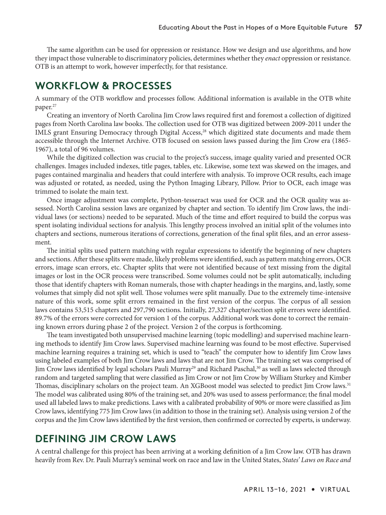The same algorithm can be used for oppression or resistance. How we design and use algorithms, and how they impact those vulnerable to discriminatory policies, determines whether they *enact* oppression or resistance. OTB is an attempt to work, however imperfectly, for that resistance.

## **WORKFLOW & PROCESSES**

A summary of the OTB workflow and processes follow. Additional information is available in the OTB white paper.<sup>27</sup>

Creating an inventory of North Carolina Jim Crow laws required first and foremost a collection of digitized pages from North Carolina law books. The collection used for OTB was digitized between 2009-2011 under the IMLS grant Ensuring Democracy through Digital Access,<sup>28</sup> which digitized state documents and made them accessible through the Internet Archive. OTB focused on session laws passed during the Jim Crow era (1865- 1967), a total of 96 volumes.

While the digitized collection was crucial to the project's success, image quality varied and presented OCR challenges. Images included indexes, title pages, tables, etc. Likewise, some text was skewed on the images, and pages contained marginalia and headers that could interfere with analysis. To improve OCR results, each image was adjusted or rotated, as needed, using the Python Imaging Library, Pillow. Prior to OCR, each image was trimmed to isolate the main text.

Once image adjustment was complete, Python-tesseract was used for OCR and the OCR quality was assessed. North Carolina session laws are organized by chapter and section. To identify Jim Crow laws, the individual laws (or sections) needed to be separated. Much of the time and effort required to build the corpus was spent isolating individual sections for analysis. This lengthy process involved an initial split of the volumes into chapters and sections, numerous iterations of corrections, generation of the final split files, and an error assessment.

The initial splits used pattern matching with regular expressions to identify the beginning of new chapters and sections. After these splits were made, likely problems were identified, such as pattern matching errors, OCR errors, image scan errors, etc. Chapter splits that were not identified because of text missing from the digital images or lost in the OCR process were transcribed. Some volumes could not be split automatically, including those that identify chapters with Roman numerals, those with chapter headings in the margins, and, lastly, some volumes that simply did not split well. Those volumes were split manually. Due to the extremely time-intensive nature of this work, some split errors remained in the first version of the corpus. The corpus of all session laws contains 53,515 chapters and 297,790 sections. Initially, 27,327 chapter/section split errors were identified. 89.7% of the errors were corrected for version 1 of the corpus. Additional work was done to correct the remaining known errors during phase 2 of the project. Version 2 of the corpus is forthcoming.

The team investigated both unsupervised machine learning (topic modelling) and supervised machine learning methods to identify Jim Crow laws. Supervised machine learning was found to be most effective. Supervised machine learning requires a training set, which is used to "teach" the computer how to identify Jim Crow laws using labeled examples of both Jim Crow laws and laws that are not Jim Crow. The training set was comprised of Jim Crow laws identified by legal scholars Pauli Murray<sup>29</sup> and Richard Paschal,<sup>30</sup> as well as laws selected through random and targeted sampling that were classified as Jim Crow or not Jim Crow by William Sturkey and Kimber Thomas, disciplinary scholars on the project team. An XGBoost model was selected to predict Jim Crow laws.<sup>31</sup> The model was calibrated using 80% of the training set, and 20% was used to assess performance; the final model used all labeled laws to make predictions. Laws with a calibrated probability of 90% or more were classified as Jim Crow laws, identifying 775 Jim Crow laws (in addition to those in the training set). Analysis using version 2 of the corpus and the Jim Crow laws identified by the first version, then confirmed or corrected by experts, is underway.

### **DEFINING JIM CROW LAWS**

A central challenge for this project has been arriving at a working definition of a Jim Crow law. OTB has drawn heavily from Rev. Dr. Pauli Murray's seminal work on race and law in the United States, *States' Laws on Race and*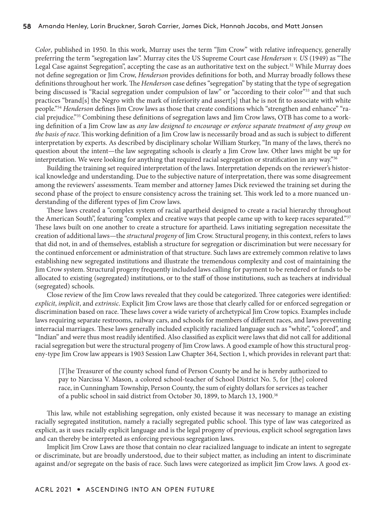*Color*, published in 1950. In this work, Murray uses the term "Jim Crow" with relative infrequency, generally preferring the term "segregation law". Murray cites the US Supreme Court case *Henderson v. US* (1949) as "The Legal Case against Segregation", accepting the case as an authoritative text on the subject.<sup>32</sup> While Murray does not define segregation or Jim Crow, *Henderson* provides definitions for both, and Murray broadly follows these definitions throughout her work. The *Henderson* case defines "segregation" by stating that the type of segregation being discussed is "Racial segregation under compulsion of law" or "according to their color"<sup>33</sup> and that such practices "brand[s] the Negro with the mark of inferiority and assert[s] that he is not fit to associate with white people."34 *Henderson* defines Jim Crow laws as those that create conditions which "strengthen and enhance" "racial prejudice."35 Combining these definitions of segregation laws and Jim Crow laws, OTB has come to a working definition of a Jim Crow law as *any law designed to encourage or enforce separate treatment of any group on the basis of race*. This working definition of a Jim Crow law is necessarily broad and as such is subject to different interpretation by experts. As described by disciplinary scholar William Sturkey, "In many of the laws, there's no question about the intent—the law segregating schools is clearly a Jim Crow law. Other laws might be up for interpretation. We were looking for anything that required racial segregation or stratification in any way."36

Building the training set required interpretation of the laws. Interpretation depends on the reviewer's historical knowledge and understanding. Due to the subjective nature of interpretation, there was some disagreement among the reviewers' assessments. Team member and attorney James Dick reviewed the training set during the second phase of the project to ensure consistency across the training set. This work led to a more nuanced understanding of the different types of Jim Crow laws.

These laws created a "complex system of racial apartheid designed to create a racial hierarchy throughout the American South", featuring "complex and creative ways that people came up with to keep races separated."<sup>37</sup> These laws built on one another to create a structure for apartheid. Laws initiating segregation necessitate the creation of additional laws—the *structural progeny* of Jim Crow. Structural progeny, in this context, refers to laws that did not, in and of themselves, establish a structure for segregation or discrimination but were necessary for the continued enforcement or administration of that structure. Such laws are extremely common relative to laws establishing new segregated institutions and illustrate the tremendous complexity and cost of maintaining the Jim Crow system. Structural progeny frequently included laws calling for payment to be rendered or funds to be allocated to existing (segregated) institutions, or to the staff of those institutions, such as teachers at individual (segregated) schools.

Close review of the Jim Crow laws revealed that they could be categorized. Three categories were identified: *explicit*, *implicit*, and *extrinsic*. Explicit Jim Crow laws are those that clearly called for or enforced segregation or discrimination based on race. These laws cover a wide variety of archetypical Jim Crow topics. Examples include laws requiring separate restrooms, railway cars, and schools for members of different races, and laws preventing interracial marriages. These laws generally included explicitly racialized language such as "white", "colored", and "Indian" and were thus most readily identified. Also classified as explicit were laws that did not call for additional racial segregation but were the structural progeny of Jim Crow laws. A good example of how this structural progeny-type Jim Crow law appears is 1903 Session Law Chapter 364, Section 1, which provides in relevant part that:

[T]he Treasurer of the county school fund of Person County be and he is hereby authorized to pay to Narcissa V. Mason, a colored school-teacher of School District No. 5, for [the] colored race, in Cunningham Township, Person County, the sum of eighty dollars for services as teacher of a public school in said district from October 30, 1899, to March 13, 1900.<sup>38</sup>

This law, while not establishing segregation, only existed because it was necessary to manage an existing racially segregated institution, namely a racially segregated public school. This type of law was categorized as explicit, as it uses racially explicit language and is the legal progeny of previous, explicit school segregation laws and can thereby be interpreted as enforcing previous segregation laws.

Implicit Jim Crow Laws are those that contain no clear racialized language to indicate an intent to segregate or discriminate, but are broadly understood, due to their subject matter, as including an intent to discriminate against and/or segregate on the basis of race. Such laws were categorized as implicit Jim Crow laws. A good ex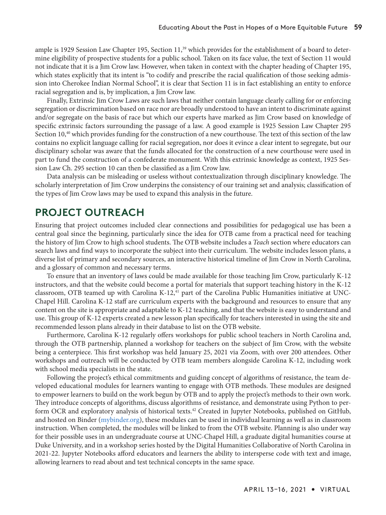ample is 1929 Session Law Chapter 195, Section 11,<sup>39</sup> which provides for the establishment of a board to determine eligibility of prospective students for a public school. Taken on its face value, the text of Section 11 would not indicate that it is a Jim Crow law. However, when taken in context with the chapter heading of Chapter 195, which states explicitly that its intent is "to codify and prescribe the racial qualification of those seeking admission into Cherokee Indian Normal School", it is clear that Section 11 is in fact establishing an entity to enforce racial segregation and is, by implication, a Jim Crow law.

Finally, Extrinsic Jim Crow Laws are such laws that neither contain language clearly calling for or enforcing segregation or discrimination based on race nor are broadly understood to have an intent to discriminate against and/or segregate on the basis of race but which our experts have marked as Jim Crow based on knowledge of specific extrinsic factors surrounding the passage of a law. A good example is 1925 Session Law Chapter 295 Section 10,<sup>40</sup> which provides funding for the construction of a new courthouse. The text of this section of the law contains no explicit language calling for racial segregation, nor does it evince a clear intent to segregate, but our disciplinary scholar was aware that the funds allocated for the construction of a new courthouse were used in part to fund the construction of a confederate monument. With this extrinsic knowledge as context, 1925 Session Law Ch. 295 section 10 can then be classified as a Jim Crow law.

Data analysis can be misleading or useless without contextualization through disciplinary knowledge. The scholarly interpretation of Jim Crow underpins the consistency of our training set and analysis; classification of the types of Jim Crow laws may be used to expand this analysis in the future.

# **PROJECT OUTREACH**

Ensuring that project outcomes included clear connections and possibilities for pedagogical use has been a central goal since the beginning, particularly since the idea for OTB came from a practical need for teaching the history of Jim Crow to high school students. The OTB website includes a *Teach* section where educators can search laws and find ways to incorporate the subject into their curriculum. The website includes lesson plans, a diverse list of primary and secondary sources, an interactive historical timeline of Jim Crow in North Carolina, and a glossary of common and necessary terms.

To ensure that an inventory of laws could be made available for those teaching Jim Crow, particularly K-12 instructors, and that the website could become a portal for materials that support teaching history in the K-12 classroom, OTB teamed up with Carolina K-12, $4$ <sup>1</sup> part of the Carolina Public Humanities initiative at UNC-Chapel Hill. Carolina K-12 staff are curriculum experts with the background and resources to ensure that any content on the site is appropriate and adaptable to K-12 teaching, and that the website is easy to understand and use. This group of K-12 experts created a new lesson plan specifically for teachers interested in using the site and recommended lesson plans already in their database to list on the OTB website.

Furthermore, Carolina K-12 regularly offers workshops for public school teachers in North Carolina and, through the OTB partnership, planned a workshop for teachers on the subject of Jim Crow, with the website being a centerpiece. This first workshop was held January 25, 2021 via Zoom, with over 200 attendees. Other workshops and outreach will be conducted by OTB team members alongside Carolina K-12, including work with school media specialists in the state.

Following the project's ethical commitments and guiding concept of algorithms of resistance, the team developed educational modules for learners wanting to engage with OTB methods. These modules are designed to empower learners to build on the work begun by OTB and to apply the project's methods to their own work. They introduce concepts of algorithms, discuss algorithms of resistance, and demonstrate using Python to perform OCR and exploratory analysis of historical texts.<sup>42</sup> Created in Jupyter Notebooks, published on GitHub, and hosted on Binder [\(mybinder.org\)](http://mybinder.org), these modules can be used in individual learning as well as in classroom instruction. When completed, the modules will be linked to from the OTB website. Planning is also under way for their possible uses in an undergraduate course at UNC-Chapel Hill, a graduate digital humanities course at Duke University, and in a workshop series hosted by the Digital Humanities Collaborative of North Carolina in 2021-22. Jupyter Notebooks afford educators and learners the ability to intersperse code with text and image, allowing learners to read about and test technical concepts in the same space.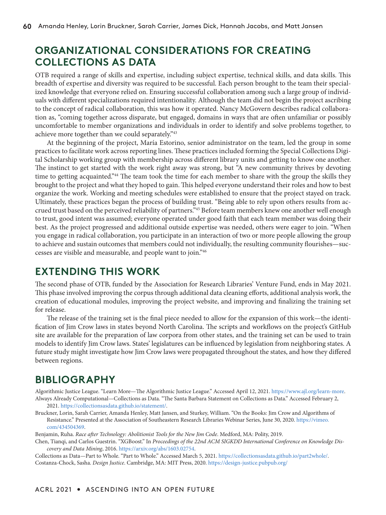# **ORGANIZATIONAL CONSIDERATIONS FOR CREATING COLLECTIONS AS DATA**

OTB required a range of skills and expertise, including subject expertise, technical skills, and data skills. This breadth of expertise and diversity was required to be successful. Each person brought to the team their specialized knowledge that everyone relied on. Ensuring successful collaboration among such a large group of individuals with different specializations required intentionality. Although the team did not begin the project ascribing to the concept of radical collaboration, this was how it operated. Nancy McGovern describes radical collaboration as, "coming together across disparate, but engaged, domains in ways that are often unfamiliar or possibly uncomfortable to member organizations and individuals in order to identify and solve problems together, to achieve more together than we could separately."43

At the beginning of the project, María Estorino, senior administrator on the team, led the group in some practices to facilitate work across reporting lines. These practices included forming the Special Collections Digital Scholarship working group with membership across different library units and getting to know one another. The instinct to get started with the work right away was strong, but "A new community thrives by devoting time to getting acquainted."44 The team took the time for each member to share with the group the skills they brought to the project and what they hoped to gain. This helped everyone understand their roles and how to best organize the work. Working and meeting schedules were established to ensure that the project stayed on track. Ultimately, these practices began the process of building trust. "Being able to rely upon others results from accrued trust based on the perceived reliability of partners."45 Before team members knew one another well enough to trust, good intent was assumed; everyone operated under good faith that each team member was doing their best. As the project progressed and additional outside expertise was needed, others were eager to join. "When you engage in radical collaboration, you participate in an interaction of two or more people allowing the group to achieve and sustain outcomes that members could not individually, the resulting community flourishes—successes are visible and measurable, and people want to join."46

### **EXTENDING THIS WORK**

The second phase of OTB, funded by the Association for Research Libraries' Venture Fund, ends in May 2021. This phase involved improving the corpus through additional data cleaning efforts, additional analysis work, the creation of educational modules, improving the project website, and improving and finalizing the training set for release.

The release of the training set is the final piece needed to allow for the expansion of this work—the identification of Jim Crow laws in states beyond North Carolina. The scripts and workflows on the project's GitHub site are available for the preparation of law corpora from other states, and the training set can be used to train models to identify Jim Crow laws. States' legislatures can be influenced by legislation from neighboring states. A future study might investigate how Jim Crow laws were propagated throughout the states, and how they differed between regions.

# **BIBLIOGRAPHY**

Algorithmic Justice League. "Learn More—The Algorithmic Justice League." Accessed April 12, 2021. [https://www.ajl.org/learn-more.](https://www.ajl.org/learn-more) Always Already Computational—Collections as Data. "The Santa Barbara Statement on Collections as Data." Accessed February 2,

- 2021. [https://collectionsasdata.github.io/statement/.](https://collectionsasdata.github.io/statement/)
- Bruckner, Lorin, Sarah Carrier, Amanda Henley, Matt Jansen, and Sturkey, William. "On the Books: Jim Crow and Algorithms of Resistance." Presented at the Association of Southeastern Research Libraries Webinar Series, June 30, 2020. [https://vimeo.](https://vimeo.com/434504369) [com/434504369.](https://vimeo.com/434504369)

Benjamin, Ruha. *Race after Technology: Abolitionist Tools for the New Jim Code*. Medford, MA: Polity, 2019.

Chen, Tianqi, and Carlos Guestrin. "XGBoost." In *Proceedings of the 22nd ACM SIGKDD International Conference on Knowledge Discovery and Data Mining*, 2016. [https://arxiv.org/abs/1603.02754.](https://arxiv.org/abs/1603.02754)

Collections as Data—Part to Whole. "Part to Whole." Accessed March 5, 2021.<https://collectionsasdata.github.io/part2whole/>. Costanza-Chock, Sasha. *Design Justice*. Cambridge, MA: MIT Press, 2020. <https://design-justice.pubpub.org/>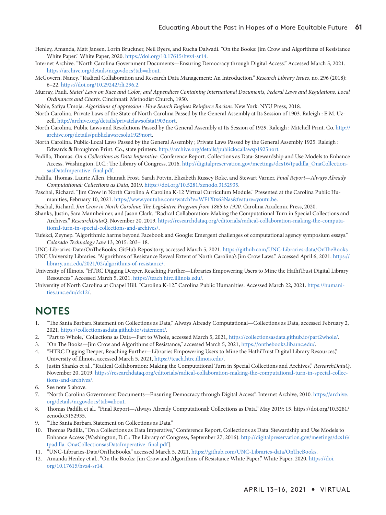- Henley, Amanda, Matt Jansen, Lorin Bruckner, Neil Byers, and Rucha Dalwadi. "On the Books: Jim Crow and Algorithms of Resistance White Paper." White Paper, 2020. [https://doi.org/10.17615/hvz4-sr14.](https://doi.org/10.17615/hvz4-sr14)
- Internet Archive. "North Carolina Government Documents—Ensuring Democracy through Digital Access." Accessed March 5, 2021. <https://archive.org/details/ncgovdocs?tab=about>.
- McGovern, Nancy. "Radical Collaboration and Research Data Management: An Introduction." *Research Library Issues*, no. 296 (2018): 6–22. [https://doi.org/10.29242/rli.296.2.](https://doi.org/10.29242/rli.296.2)
- Murray, Pauli. *States' Laws on Race and Color; and Appendices Containing International Documents, Federal Laws and Regulations, Local Ordinances and Charts*. Cincinnati: Methodist Church, 1950.
- Noble, Safiya Umoja. *Algorithms of oppression : How Search Engines Reinforce Racism.* New York: NYU Press, 2018.
- North Carolina. Private Laws of the State of North Carolina Passed by the General Assembly at Its Session of 1903. Raleigh : E.M. Uzzell.<http://archive.org/details/privatelawsofsta1903nort>.
- North Carolina. Public Laws and Resolutions Passed by the General Assembly at Its Session of 1929. Raleigh : Mitchell Print. Co. [http://](http://archive.org/details/publiclawsresolu1929nort) [archive.org/details/publiclawsresolu1929nort.](http://archive.org/details/publiclawsresolu1929nort)
- North Carolina. Public-Local Laws Passed by the General Assembly ; Private Laws Passed by the General Assembly 1925. Raleigh : Edwards & Broughton Print. Co., state printers.<http://archive.org/details/publiclocallawsp1925nort>.
- Padilla, Thomas. *On a Collections as Data Imperative.* Conference Report. Collections as Data: Stewardship and Use Models to Enhance Access. Washington, D.C.: The Library of Congress, 2016. [http://digitalpreservation.gov/meetings/dcs16/tpadilla\\_OnaCollection](http://digitalpreservation.gov/meetings/dcs16/tpadilla_OnaCollectionsasDataImperative_final.pdf)[sasDataImperative\\_final.pdf](http://digitalpreservation.gov/meetings/dcs16/tpadilla_OnaCollectionsasDataImperative_final.pdf).
- Padilla, Thomas, Laurie Allen, Hannah Frost, Sarah Potvin, Elizabeth Russey Roke, and Stewart Varner. *Final Report—Always Already Computational: Collections as Data,* 2019. [https://doi.org/10.5281/zenodo.3152935.](https://doi.org/10.5281/zenodo.3152935)
- Paschal, Richard. "Jim Crow in North Carolina A Carolina K-12 Virtual Curriculum Module." Presented at the Carolina Public Humanities, February 10, 2021. [https://www.youtube.com/watch?v=WF1Xtx63Nas&feature=youtu.be.](https://www.youtube.com/watch?v=WF1Xtx63Nas&feature=youtu.be)
- Paschal, Richard. *Jim Crow in North Carolina: The Legislative Program from 1865 to 1920*. Carolina Academic Press, 2020.
- Shanks, Justin, Sara Mannheimer, and Jason Clark. "Radical Collaboration: Making the Computational Turn in Special Collections and Archives." *ResearchDataQ*, November 20, 2019. [https://researchdataq.org/editorials/radical-collaboration-making-the-computa](https://researchdataq.org/editorials/radical-collaboration-making-the-computational-turn-in-special-collections-and-archives/)[tional-turn-in-special-collections-and-archives/.](https://researchdataq.org/editorials/radical-collaboration-making-the-computational-turn-in-special-collections-and-archives/)
- Tufekci, Zeynep. "Algorithmic harms beyond Facebook and Google: Emergent challenges of computational agency symposium essays." *Colorado Technology Law* 13, 2015: 203– 18.

UNC-Libraries-Data/OnTheBooks. GitHub Repository, accessed March 5, 2021. <https://github.com/UNC-Libraries-data/OnTheBooks>

- UNC University Libraries. "Algorithms of Resistance Reveal Extent of North Carolina's Jim Crow Laws." Accessed April 6, 2021. [https://](https://library.unc.edu/2021/02/algorithms-of-resistance/) [library.unc.edu/2021/02/algorithms-of-resistance/.](https://library.unc.edu/2021/02/algorithms-of-resistance/)
- University of Illinois. "HTRC Digging Deeper, Reaching Further—Libraries Empowering Users to Mine the HathiTrust Digital Library Resources." Accessed March 5, 2021. <https://teach.htrc.illinois.edu/>.
- University of North Carolina at Chapel Hill. "Carolina K-12." Carolina Public Humanities. Accessed March 22, 2021. [https://humani](https://humanities.unc.edu/ck12/)[ties.unc.edu/ck12/](https://humanities.unc.edu/ck12/).

#### **NOTES**

- 1. "The Santa Barbara Statement on Collections as Data," Always Already Computational—Collections as Data, accessed February 2, 2021, [https://collectionsasdata.github.io/statement/.](https://collectionsasdata.github.io/statement/)
- 2. "Part to Whole," Collections as Data—Part to Whole, accessed March 5, 2021,<https://collectionsasdata.github.io/part2whole/>.
- 3. "On The Books—Jim Crow and Algorithms of Resistance," accessed March 5, 2021,<https://onthebooks.lib.unc.edu/>.
- 4. "HTRC Digging Deeper, Reaching Further—Libraries Empowering Users to Mine the HathiTrust Digital Library Resources," University of Illinois, accessed March 5, 2021, <https://teach.htrc.illinois.edu/>.
- 5. Justin Shanks et al., "Radical Collaboration: Making the Computational Turn in Special Collections and Archives," *ResearchDataQ*, November 20, 2019, [https://researchdataq.org/editorials/radical-collaboration-making-the-computational-turn-in-special-collec](https://researchdataq.org/editorials/radical-collaboration-making-the-computational-turn-in-special-collections-and-archives/)[tions-and-archives/.](https://researchdataq.org/editorials/radical-collaboration-making-the-computational-turn-in-special-collections-and-archives/)
- 6. See note 5 above.
- 7. "North Carolina Government Documents—Ensuring Democracy through Digital Access". Internet Archive, 2010. [https://archive.](https://archive.org/details/ncgovdocs?tab=about) [org/details/ncgovdocs?tab=about](https://archive.org/details/ncgovdocs?tab=about).
- 8. Thomas Padilla et al., "Final Report—Always Already Computational: Collections as Data," May 2019: 15, [https://doi.org/10.5281/](https://doi.org/10.5281/zenodo.3152935) [zenodo.3152935.](https://doi.org/10.5281/zenodo.3152935)
- 9. "The Santa Barbara Statement on Collections as Data."
- 10. Thomas Padilla, "On a Collections as Data Imperative," Conference Report, Collections as Data: Stewardship and Use Models to Enhance Access (Washington, D.C.: The Library of Congress, September 27, 2016). [http://digitalpreservation.gov/meetings/dcs16/](http://digitalpreservation.gov/meetings/dcs16/tpadilla_OnaCollectionsasDataImperative_final.pdf) [tpadilla\\_OnaCollectionsasDataImperative\\_final.pdf\]](http://digitalpreservation.gov/meetings/dcs16/tpadilla_OnaCollectionsasDataImperative_final.pdf).
- 11. "UNC-Libraries-Data/OnTheBooks," accessed March 5, 2021, [https://github.com/UNC-Libraries-data/OnTheBooks.](https://github.com/UNC-Libraries-data/OnTheBooks)
- 12. Amanda Henley et al., "On the Books: Jim Crow and Algorithms of Resistance White Paper," White Paper, 2020, [https://doi.](https://doi.org/10.17615/hvz4-sr14) [org/10.17615/hvz4-sr14.](https://doi.org/10.17615/hvz4-sr14)